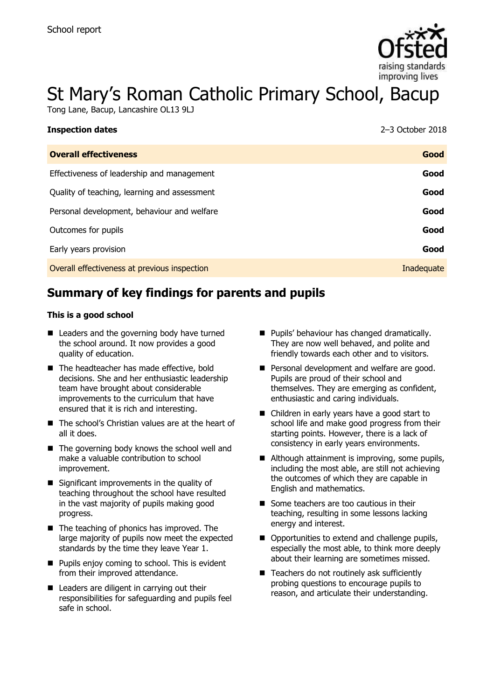

# St Mary's Roman Catholic Primary School, Bacup

Tong Lane, Bacup, Lancashire OL13 9LJ

| <b>Inspection dates</b>                      | $2-3$ October 2018 |
|----------------------------------------------|--------------------|
| <b>Overall effectiveness</b>                 | Good               |
| Effectiveness of leadership and management   | Good               |
| Quality of teaching, learning and assessment | Good               |
| Personal development, behaviour and welfare  | Good               |
| Outcomes for pupils                          | Good               |
| Early years provision                        | Good               |
| Overall effectiveness at previous inspection | Inadequate         |

# **Summary of key findings for parents and pupils**

#### **This is a good school**

- Leaders and the governing body have turned the school around. It now provides a good quality of education.
- The headteacher has made effective, bold decisions. She and her enthusiastic leadership team have brought about considerable improvements to the curriculum that have ensured that it is rich and interesting.
- The school's Christian values are at the heart of all it does.
- The governing body knows the school well and make a valuable contribution to school improvement.
- $\blacksquare$  Significant improvements in the quality of teaching throughout the school have resulted in the vast majority of pupils making good progress.
- The teaching of phonics has improved. The large majority of pupils now meet the expected standards by the time they leave Year 1.
- **Pupils enjoy coming to school. This is evident** from their improved attendance.
- Leaders are diligent in carrying out their responsibilities for safeguarding and pupils feel safe in school.
- **Pupils' behaviour has changed dramatically.** They are now well behaved, and polite and friendly towards each other and to visitors.
- Personal development and welfare are good. Pupils are proud of their school and themselves. They are emerging as confident, enthusiastic and caring individuals.
- Children in early years have a good start to school life and make good progress from their starting points. However, there is a lack of consistency in early years environments.
- Although attainment is improving, some pupils, including the most able, are still not achieving the outcomes of which they are capable in English and mathematics.
- Some teachers are too cautious in their teaching, resulting in some lessons lacking energy and interest.
- Opportunities to extend and challenge pupils, especially the most able, to think more deeply about their learning are sometimes missed.
- $\blacksquare$  Teachers do not routinely ask sufficiently probing questions to encourage pupils to reason, and articulate their understanding.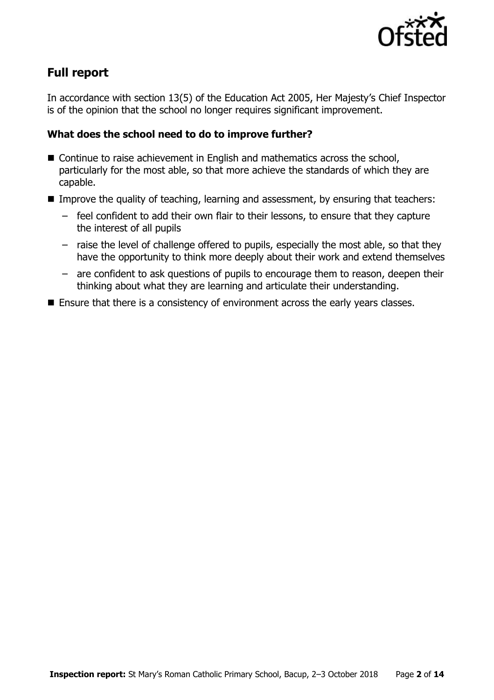

# **Full report**

In accordance with section 13(5) of the Education Act 2005, Her Majesty's Chief Inspector is of the opinion that the school no longer requires significant improvement.

### **What does the school need to do to improve further?**

- Continue to raise achievement in English and mathematics across the school, particularly for the most able, so that more achieve the standards of which they are capable.
- **IMPROVE the quality of teaching, learning and assessment, by ensuring that teachers:** 
	- feel confident to add their own flair to their lessons, to ensure that they capture the interest of all pupils
	- raise the level of challenge offered to pupils, especially the most able, so that they have the opportunity to think more deeply about their work and extend themselves
	- are confident to ask questions of pupils to encourage them to reason, deepen their thinking about what they are learning and articulate their understanding.
- **Ensure that there is a consistency of environment across the early years classes.**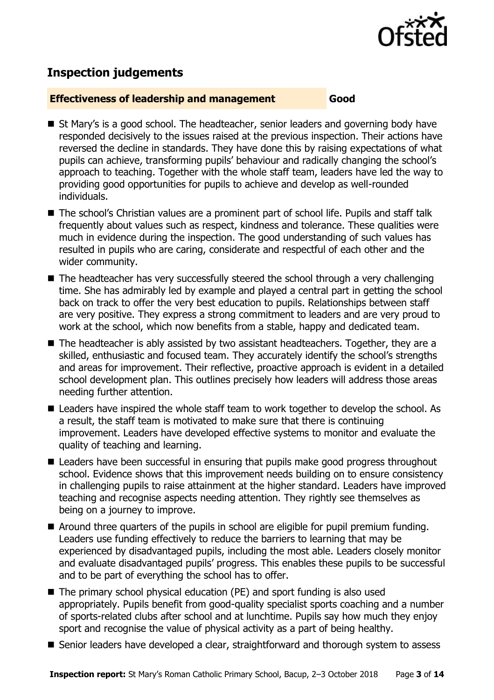

# **Inspection judgements**

#### **Effectiveness of leadership and management Good**

- St Mary's is a good school. The headteacher, senior leaders and governing body have responded decisively to the issues raised at the previous inspection. Their actions have reversed the decline in standards. They have done this by raising expectations of what pupils can achieve, transforming pupils' behaviour and radically changing the school's approach to teaching. Together with the whole staff team, leaders have led the way to providing good opportunities for pupils to achieve and develop as well-rounded individuals.
- The school's Christian values are a prominent part of school life. Pupils and staff talk frequently about values such as respect, kindness and tolerance. These qualities were much in evidence during the inspection. The good understanding of such values has resulted in pupils who are caring, considerate and respectful of each other and the wider community.
- $\blacksquare$  The headteacher has very successfully steered the school through a very challenging time. She has admirably led by example and played a central part in getting the school back on track to offer the very best education to pupils. Relationships between staff are very positive. They express a strong commitment to leaders and are very proud to work at the school, which now benefits from a stable, happy and dedicated team.
- The headteacher is ably assisted by two assistant headteachers. Together, they are a skilled, enthusiastic and focused team. They accurately identify the school's strengths and areas for improvement. Their reflective, proactive approach is evident in a detailed school development plan. This outlines precisely how leaders will address those areas needing further attention.
- Leaders have inspired the whole staff team to work together to develop the school. As a result, the staff team is motivated to make sure that there is continuing improvement. Leaders have developed effective systems to monitor and evaluate the quality of teaching and learning.
- Leaders have been successful in ensuring that pupils make good progress throughout school. Evidence shows that this improvement needs building on to ensure consistency in challenging pupils to raise attainment at the higher standard. Leaders have improved teaching and recognise aspects needing attention. They rightly see themselves as being on a journey to improve.
- Around three quarters of the pupils in school are eligible for pupil premium funding. Leaders use funding effectively to reduce the barriers to learning that may be experienced by disadvantaged pupils, including the most able. Leaders closely monitor and evaluate disadvantaged pupils' progress. This enables these pupils to be successful and to be part of everything the school has to offer.
- The primary school physical education (PE) and sport funding is also used appropriately. Pupils benefit from good-quality specialist sports coaching and a number of sports-related clubs after school and at lunchtime. Pupils say how much they enjoy sport and recognise the value of physical activity as a part of being healthy.
- Senior leaders have developed a clear, straightforward and thorough system to assess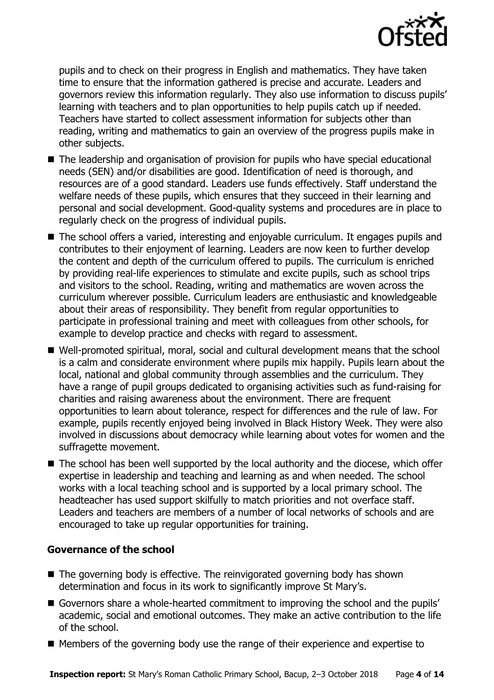

pupils and to check on their progress in English and mathematics. They have taken time to ensure that the information gathered is precise and accurate. Leaders and governors review this information regularly. They also use information to discuss pupils' learning with teachers and to plan opportunities to help pupils catch up if needed. Teachers have started to collect assessment information for subjects other than reading, writing and mathematics to gain an overview of the progress pupils make in other subjects.

- The leadership and organisation of provision for pupils who have special educational needs (SEN) and/or disabilities are good. Identification of need is thorough, and resources are of a good standard. Leaders use funds effectively. Staff understand the welfare needs of these pupils, which ensures that they succeed in their learning and personal and social development. Good-quality systems and procedures are in place to regularly check on the progress of individual pupils.
- The school offers a varied, interesting and enjoyable curriculum. It engages pupils and contributes to their enjoyment of learning. Leaders are now keen to further develop the content and depth of the curriculum offered to pupils. The curriculum is enriched by providing real-life experiences to stimulate and excite pupils, such as school trips and visitors to the school. Reading, writing and mathematics are woven across the curriculum wherever possible. Curriculum leaders are enthusiastic and knowledgeable about their areas of responsibility. They benefit from regular opportunities to participate in professional training and meet with colleagues from other schools, for example to develop practice and checks with regard to assessment.
- Well-promoted spiritual, moral, social and cultural development means that the school is a calm and considerate environment where pupils mix happily. Pupils learn about the local, national and global community through assemblies and the curriculum. They have a range of pupil groups dedicated to organising activities such as fund-raising for charities and raising awareness about the environment. There are frequent opportunities to learn about tolerance, respect for differences and the rule of law. For example, pupils recently enjoyed being involved in Black History Week. They were also involved in discussions about democracy while learning about votes for women and the suffragette movement.
- The school has been well supported by the local authority and the diocese, which offer expertise in leadership and teaching and learning as and when needed. The school works with a local teaching school and is supported by a local primary school. The headteacher has used support skilfully to match priorities and not overface staff. Leaders and teachers are members of a number of local networks of schools and are encouraged to take up regular opportunities for training.

### **Governance of the school**

- The governing body is effective. The reinvigorated governing body has shown determination and focus in its work to significantly improve St Mary's.
- Governors share a whole-hearted commitment to improving the school and the pupils' academic, social and emotional outcomes. They make an active contribution to the life of the school.
- Members of the governing body use the range of their experience and expertise to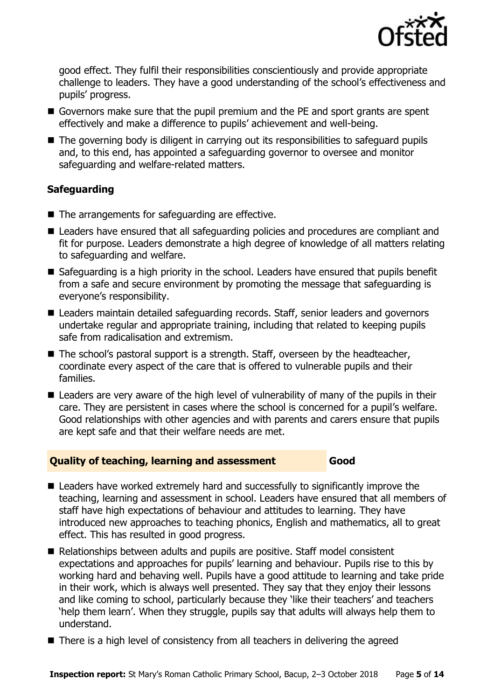

good effect. They fulfil their responsibilities conscientiously and provide appropriate challenge to leaders. They have a good understanding of the school's effectiveness and pupils' progress.

- Governors make sure that the pupil premium and the PE and sport grants are spent effectively and make a difference to pupils' achievement and well-being.
- The governing body is diligent in carrying out its responsibilities to safeguard pupils and, to this end, has appointed a safeguarding governor to oversee and monitor safeguarding and welfare-related matters.

### **Safeguarding**

- The arrangements for safeguarding are effective.
- Leaders have ensured that all safeguarding policies and procedures are compliant and fit for purpose. Leaders demonstrate a high degree of knowledge of all matters relating to safeguarding and welfare.
- Safeguarding is a high priority in the school. Leaders have ensured that pupils benefit from a safe and secure environment by promoting the message that safeguarding is everyone's responsibility.
- Leaders maintain detailed safeguarding records. Staff, senior leaders and governors undertake regular and appropriate training, including that related to keeping pupils safe from radicalisation and extremism.
- $\blacksquare$  The school's pastoral support is a strength. Staff, overseen by the headteacher, coordinate every aspect of the care that is offered to vulnerable pupils and their families.
- Leaders are very aware of the high level of vulnerability of many of the pupils in their care. They are persistent in cases where the school is concerned for a pupil's welfare. Good relationships with other agencies and with parents and carers ensure that pupils are kept safe and that their welfare needs are met.

### **Quality of teaching, learning and assessment Good**

- Leaders have worked extremely hard and successfully to significantly improve the teaching, learning and assessment in school. Leaders have ensured that all members of staff have high expectations of behaviour and attitudes to learning. They have introduced new approaches to teaching phonics, English and mathematics, all to great effect. This has resulted in good progress.
- Relationships between adults and pupils are positive. Staff model consistent expectations and approaches for pupils' learning and behaviour. Pupils rise to this by working hard and behaving well. Pupils have a good attitude to learning and take pride in their work, which is always well presented. They say that they enjoy their lessons and like coming to school, particularly because they 'like their teachers' and teachers 'help them learn'. When they struggle, pupils say that adults will always help them to understand.
- There is a high level of consistency from all teachers in delivering the agreed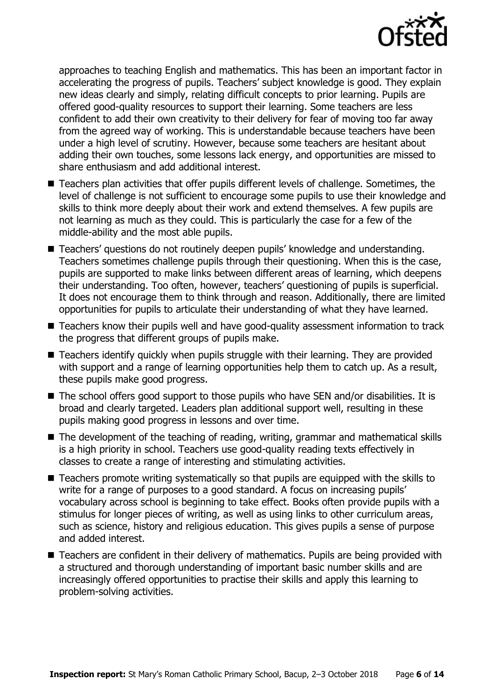

approaches to teaching English and mathematics. This has been an important factor in accelerating the progress of pupils. Teachers' subject knowledge is good. They explain new ideas clearly and simply, relating difficult concepts to prior learning. Pupils are offered good-quality resources to support their learning. Some teachers are less confident to add their own creativity to their delivery for fear of moving too far away from the agreed way of working. This is understandable because teachers have been under a high level of scrutiny. However, because some teachers are hesitant about adding their own touches, some lessons lack energy, and opportunities are missed to share enthusiasm and add additional interest.

- Teachers plan activities that offer pupils different levels of challenge. Sometimes, the level of challenge is not sufficient to encourage some pupils to use their knowledge and skills to think more deeply about their work and extend themselves. A few pupils are not learning as much as they could. This is particularly the case for a few of the middle-ability and the most able pupils.
- Teachers' questions do not routinely deepen pupils' knowledge and understanding. Teachers sometimes challenge pupils through their questioning. When this is the case, pupils are supported to make links between different areas of learning, which deepens their understanding. Too often, however, teachers' questioning of pupils is superficial. It does not encourage them to think through and reason. Additionally, there are limited opportunities for pupils to articulate their understanding of what they have learned.
- Teachers know their pupils well and have good-quality assessment information to track the progress that different groups of pupils make.
- Teachers identify quickly when pupils struggle with their learning. They are provided with support and a range of learning opportunities help them to catch up. As a result, these pupils make good progress.
- The school offers good support to those pupils who have SEN and/or disabilities. It is broad and clearly targeted. Leaders plan additional support well, resulting in these pupils making good progress in lessons and over time.
- The development of the teaching of reading, writing, grammar and mathematical skills is a high priority in school. Teachers use good-quality reading texts effectively in classes to create a range of interesting and stimulating activities.
- Teachers promote writing systematically so that pupils are equipped with the skills to write for a range of purposes to a good standard. A focus on increasing pupils' vocabulary across school is beginning to take effect. Books often provide pupils with a stimulus for longer pieces of writing, as well as using links to other curriculum areas, such as science, history and religious education. This gives pupils a sense of purpose and added interest.
- Teachers are confident in their delivery of mathematics. Pupils are being provided with a structured and thorough understanding of important basic number skills and are increasingly offered opportunities to practise their skills and apply this learning to problem-solving activities.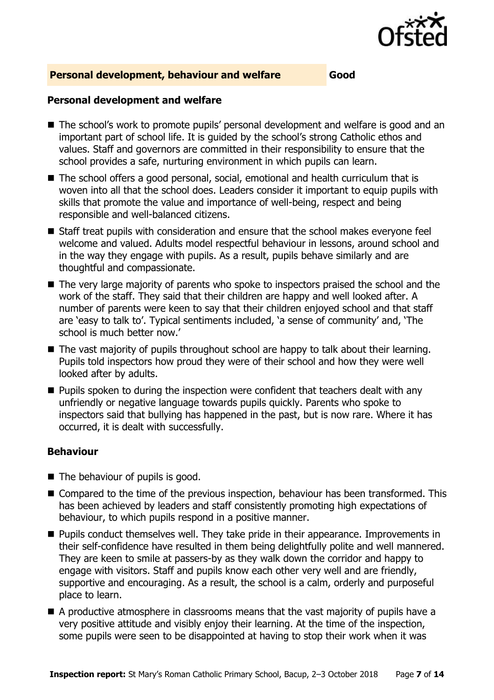

#### **Personal development, behaviour and welfare Good**

#### **Personal development and welfare**

- The school's work to promote pupils' personal development and welfare is good and an important part of school life. It is guided by the school's strong Catholic ethos and values. Staff and governors are committed in their responsibility to ensure that the school provides a safe, nurturing environment in which pupils can learn.
- The school offers a good personal, social, emotional and health curriculum that is woven into all that the school does. Leaders consider it important to equip pupils with skills that promote the value and importance of well-being, respect and being responsible and well-balanced citizens.
- Staff treat pupils with consideration and ensure that the school makes everyone feel welcome and valued. Adults model respectful behaviour in lessons, around school and in the way they engage with pupils. As a result, pupils behave similarly and are thoughtful and compassionate.
- The very large majority of parents who spoke to inspectors praised the school and the work of the staff. They said that their children are happy and well looked after. A number of parents were keen to say that their children enjoyed school and that staff are 'easy to talk to'. Typical sentiments included, 'a sense of community' and, 'The school is much better now.'
- The vast majority of pupils throughout school are happy to talk about their learning. Pupils told inspectors how proud they were of their school and how they were well looked after by adults.
- **Pupils spoken to during the inspection were confident that teachers dealt with any** unfriendly or negative language towards pupils quickly. Parents who spoke to inspectors said that bullying has happened in the past, but is now rare. Where it has occurred, it is dealt with successfully.

### **Behaviour**

- The behaviour of pupils is good.
- Compared to the time of the previous inspection, behaviour has been transformed. This has been achieved by leaders and staff consistently promoting high expectations of behaviour, to which pupils respond in a positive manner.
- **Pupils conduct themselves well. They take pride in their appearance. Improvements in** their self-confidence have resulted in them being delightfully polite and well mannered. They are keen to smile at passers-by as they walk down the corridor and happy to engage with visitors. Staff and pupils know each other very well and are friendly, supportive and encouraging. As a result, the school is a calm, orderly and purposeful place to learn.
- A productive atmosphere in classrooms means that the vast majority of pupils have a very positive attitude and visibly enjoy their learning. At the time of the inspection, some pupils were seen to be disappointed at having to stop their work when it was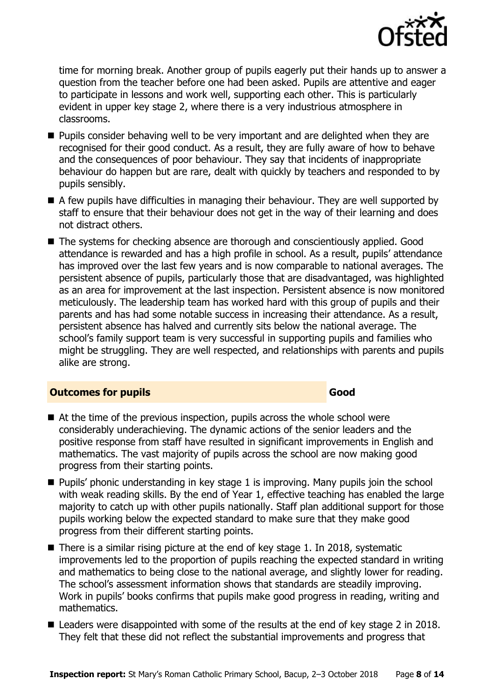

time for morning break. Another group of pupils eagerly put their hands up to answer a question from the teacher before one had been asked. Pupils are attentive and eager to participate in lessons and work well, supporting each other. This is particularly evident in upper key stage 2, where there is a very industrious atmosphere in classrooms.

- **Pupils consider behaving well to be very important and are delighted when they are** recognised for their good conduct. As a result, they are fully aware of how to behave and the consequences of poor behaviour. They say that incidents of inappropriate behaviour do happen but are rare, dealt with quickly by teachers and responded to by pupils sensibly.
- A few pupils have difficulties in managing their behaviour. They are well supported by staff to ensure that their behaviour does not get in the way of their learning and does not distract others.
- The systems for checking absence are thorough and conscientiously applied. Good attendance is rewarded and has a high profile in school. As a result, pupils' attendance has improved over the last few years and is now comparable to national averages. The persistent absence of pupils, particularly those that are disadvantaged, was highlighted as an area for improvement at the last inspection. Persistent absence is now monitored meticulously. The leadership team has worked hard with this group of pupils and their parents and has had some notable success in increasing their attendance. As a result, persistent absence has halved and currently sits below the national average. The school's family support team is very successful in supporting pupils and families who might be struggling. They are well respected, and relationships with parents and pupils alike are strong.

#### **Outcomes for pupils Good**

- At the time of the previous inspection, pupils across the whole school were considerably underachieving. The dynamic actions of the senior leaders and the positive response from staff have resulted in significant improvements in English and mathematics. The vast majority of pupils across the school are now making good progress from their starting points.
- $\blacksquare$  Pupils' phonic understanding in key stage 1 is improving. Many pupils join the school with weak reading skills. By the end of Year 1, effective teaching has enabled the large majority to catch up with other pupils nationally. Staff plan additional support for those pupils working below the expected standard to make sure that they make good progress from their different starting points.
- $\blacksquare$  There is a similar rising picture at the end of key stage 1. In 2018, systematic improvements led to the proportion of pupils reaching the expected standard in writing and mathematics to being close to the national average, and slightly lower for reading. The school's assessment information shows that standards are steadily improving. Work in pupils' books confirms that pupils make good progress in reading, writing and mathematics.
- Leaders were disappointed with some of the results at the end of key stage 2 in 2018. They felt that these did not reflect the substantial improvements and progress that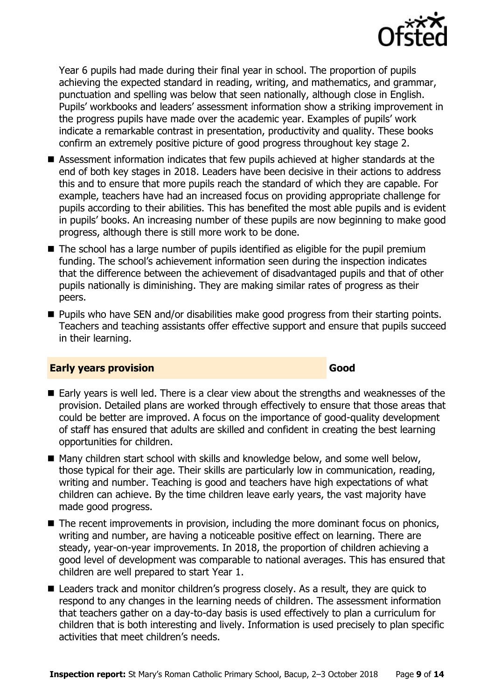

Year 6 pupils had made during their final year in school. The proportion of pupils achieving the expected standard in reading, writing, and mathematics, and grammar, punctuation and spelling was below that seen nationally, although close in English. Pupils' workbooks and leaders' assessment information show a striking improvement in the progress pupils have made over the academic year. Examples of pupils' work indicate a remarkable contrast in presentation, productivity and quality. These books confirm an extremely positive picture of good progress throughout key stage 2.

- Assessment information indicates that few pupils achieved at higher standards at the end of both key stages in 2018. Leaders have been decisive in their actions to address this and to ensure that more pupils reach the standard of which they are capable. For example, teachers have had an increased focus on providing appropriate challenge for pupils according to their abilities. This has benefited the most able pupils and is evident in pupils' books. An increasing number of these pupils are now beginning to make good progress, although there is still more work to be done.
- The school has a large number of pupils identified as eligible for the pupil premium funding. The school's achievement information seen during the inspection indicates that the difference between the achievement of disadvantaged pupils and that of other pupils nationally is diminishing. They are making similar rates of progress as their peers.
- **Pupils who have SEN and/or disabilities make good progress from their starting points.** Teachers and teaching assistants offer effective support and ensure that pupils succeed in their learning.

### **Early years provision Good Good**

- Early years is well led. There is a clear view about the strengths and weaknesses of the provision. Detailed plans are worked through effectively to ensure that those areas that could be better are improved. A focus on the importance of good-quality development of staff has ensured that adults are skilled and confident in creating the best learning opportunities for children.
- Many children start school with skills and knowledge below, and some well below, those typical for their age. Their skills are particularly low in communication, reading, writing and number. Teaching is good and teachers have high expectations of what children can achieve. By the time children leave early years, the vast majority have made good progress.
- The recent improvements in provision, including the more dominant focus on phonics, writing and number, are having a noticeable positive effect on learning. There are steady, year-on-year improvements. In 2018, the proportion of children achieving a good level of development was comparable to national averages. This has ensured that children are well prepared to start Year 1.
- Leaders track and monitor children's progress closely. As a result, they are quick to respond to any changes in the learning needs of children. The assessment information that teachers gather on a day-to-day basis is used effectively to plan a curriculum for children that is both interesting and lively. Information is used precisely to plan specific activities that meet children's needs.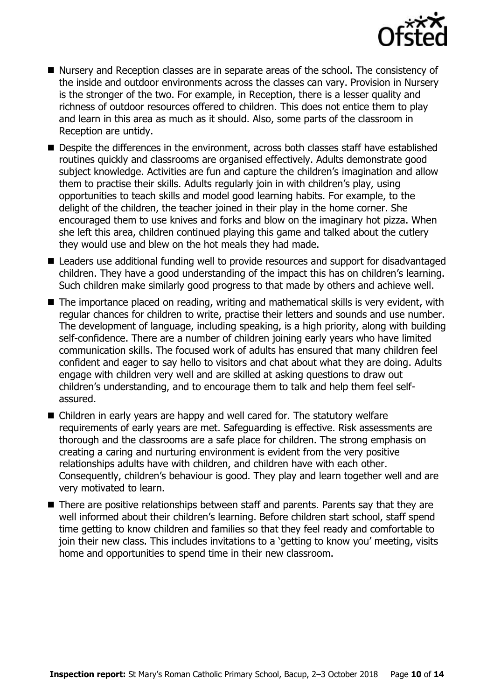

- Nursery and Reception classes are in separate areas of the school. The consistency of the inside and outdoor environments across the classes can vary. Provision in Nursery is the stronger of the two. For example, in Reception, there is a lesser quality and richness of outdoor resources offered to children. This does not entice them to play and learn in this area as much as it should. Also, some parts of the classroom in Reception are untidy.
- Despite the differences in the environment, across both classes staff have established routines quickly and classrooms are organised effectively. Adults demonstrate good subject knowledge. Activities are fun and capture the children's imagination and allow them to practise their skills. Adults regularly join in with children's play, using opportunities to teach skills and model good learning habits. For example, to the delight of the children, the teacher joined in their play in the home corner. She encouraged them to use knives and forks and blow on the imaginary hot pizza. When she left this area, children continued playing this game and talked about the cutlery they would use and blew on the hot meals they had made.
- Leaders use additional funding well to provide resources and support for disadvantaged children. They have a good understanding of the impact this has on children's learning. Such children make similarly good progress to that made by others and achieve well.
- The importance placed on reading, writing and mathematical skills is very evident, with regular chances for children to write, practise their letters and sounds and use number. The development of language, including speaking, is a high priority, along with building self-confidence. There are a number of children joining early years who have limited communication skills. The focused work of adults has ensured that many children feel confident and eager to say hello to visitors and chat about what they are doing. Adults engage with children very well and are skilled at asking questions to draw out children's understanding, and to encourage them to talk and help them feel selfassured.
- Children in early years are happy and well cared for. The statutory welfare requirements of early years are met. Safeguarding is effective. Risk assessments are thorough and the classrooms are a safe place for children. The strong emphasis on creating a caring and nurturing environment is evident from the very positive relationships adults have with children, and children have with each other. Consequently, children's behaviour is good. They play and learn together well and are very motivated to learn.
- There are positive relationships between staff and parents. Parents say that they are well informed about their children's learning. Before children start school, staff spend time getting to know children and families so that they feel ready and comfortable to join their new class. This includes invitations to a 'getting to know you' meeting, visits home and opportunities to spend time in their new classroom.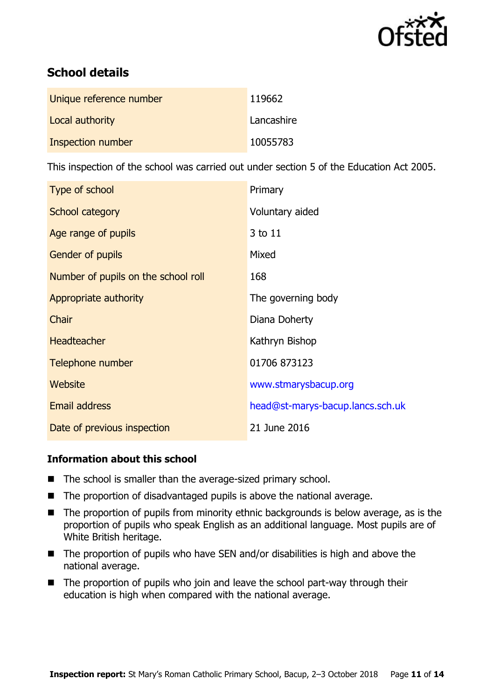

# **School details**

| Unique reference number | 119662     |
|-------------------------|------------|
| Local authority         | Lancashire |
| Inspection number       | 10055783   |

This inspection of the school was carried out under section 5 of the Education Act 2005.

| Type of school                      | Primary                          |
|-------------------------------------|----------------------------------|
| School category                     | Voluntary aided                  |
| Age range of pupils                 | 3 to 11                          |
| Gender of pupils                    | Mixed                            |
| Number of pupils on the school roll | 168                              |
| Appropriate authority               | The governing body               |
| Chair                               | Diana Doherty                    |
| <b>Headteacher</b>                  | Kathryn Bishop                   |
| Telephone number                    | 01706 873123                     |
| Website                             | www.stmarysbacup.org             |
| <b>Email address</b>                | head@st-marys-bacup.lancs.sch.uk |
| Date of previous inspection         | 21 June 2016                     |

### **Information about this school**

- The school is smaller than the average-sized primary school.
- The proportion of disadvantaged pupils is above the national average.
- The proportion of pupils from minority ethnic backgrounds is below average, as is the proportion of pupils who speak English as an additional language. Most pupils are of White British heritage.
- $\blacksquare$  The proportion of pupils who have SEN and/or disabilities is high and above the national average.
- The proportion of pupils who join and leave the school part-way through their education is high when compared with the national average.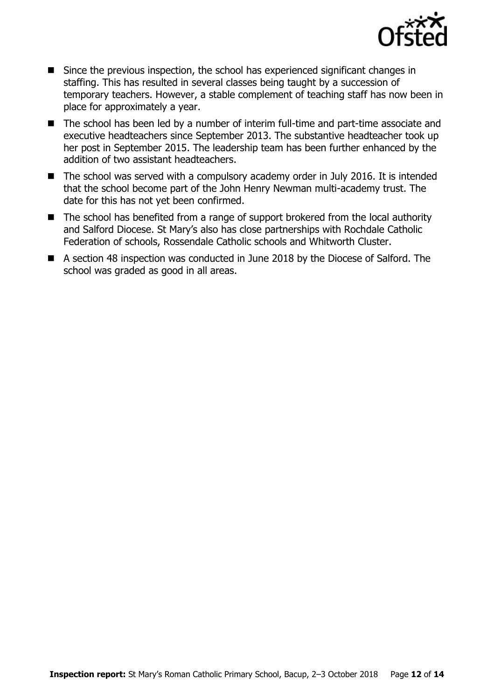

- Since the previous inspection, the school has experienced significant changes in staffing. This has resulted in several classes being taught by a succession of temporary teachers. However, a stable complement of teaching staff has now been in place for approximately a year.
- The school has been led by a number of interim full-time and part-time associate and executive headteachers since September 2013. The substantive headteacher took up her post in September 2015. The leadership team has been further enhanced by the addition of two assistant headteachers.
- The school was served with a compulsory academy order in July 2016. It is intended that the school become part of the John Henry Newman multi-academy trust. The date for this has not yet been confirmed.
- The school has benefited from a range of support brokered from the local authority and Salford Diocese. St Mary's also has close partnerships with Rochdale Catholic Federation of schools, Rossendale Catholic schools and Whitworth Cluster.
- A section 48 inspection was conducted in June 2018 by the Diocese of Salford. The school was graded as good in all areas.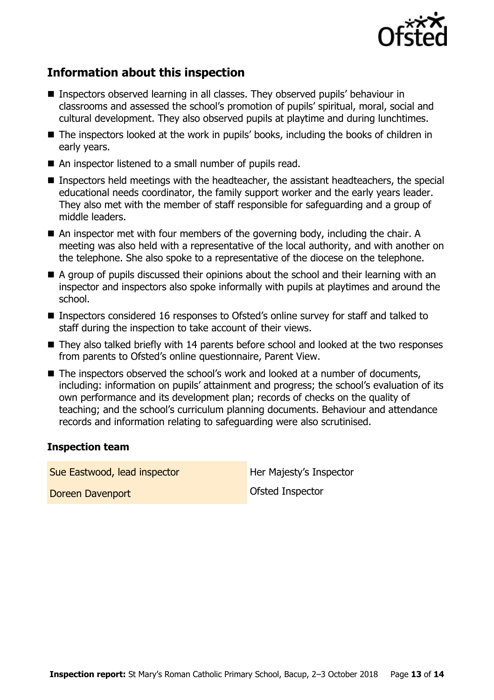

# **Information about this inspection**

- Inspectors observed learning in all classes. They observed pupils' behaviour in classrooms and assessed the school's promotion of pupils' spiritual, moral, social and cultural development. They also observed pupils at playtime and during lunchtimes.
- The inspectors looked at the work in pupils' books, including the books of children in early years.
- An inspector listened to a small number of pupils read.
- Inspectors held meetings with the headteacher, the assistant headteachers, the special educational needs coordinator, the family support worker and the early years leader. They also met with the member of staff responsible for safeguarding and a group of middle leaders.
- An inspector met with four members of the governing body, including the chair. A meeting was also held with a representative of the local authority, and with another on the telephone. She also spoke to a representative of the diocese on the telephone.
- A group of pupils discussed their opinions about the school and their learning with an inspector and inspectors also spoke informally with pupils at playtimes and around the school.
- Inspectors considered 16 responses to Ofsted's online survey for staff and talked to staff during the inspection to take account of their views.
- They also talked briefly with 14 parents before school and looked at the two responses from parents to Ofsted's online questionnaire, Parent View.
- The inspectors observed the school's work and looked at a number of documents, including: information on pupils' attainment and progress; the school's evaluation of its own performance and its development plan; records of checks on the quality of teaching; and the school's curriculum planning documents. Behaviour and attendance records and information relating to safeguarding were also scrutinised.

#### **Inspection team**

Sue Eastwood, lead inspector **Her Majesty's Inspector** Doreen Davenport **Doreen Calculates** Ofsted Inspector